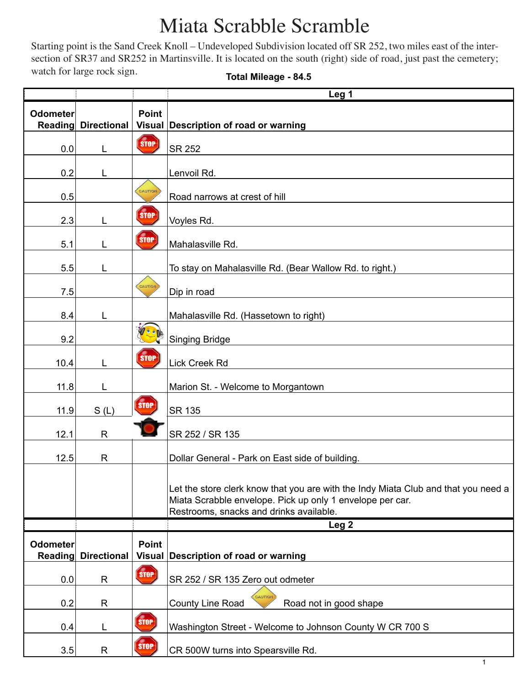## Miata Scrabble Scramble

Starting point is the Sand Creek Knoll – Undeveloped Subdivision located off SR 252, two miles east of the intersection of SR37 and SR252 in Martinsville. It is located on the south (right) side of road, just past the cemetery; watch for large rock sign.

|  | <b>Total Mileage - 84.5</b> |  |
|--|-----------------------------|--|
|--|-----------------------------|--|

|                            |                    |              | Leg <sub>1</sub>                                                                                                                                                                           |
|----------------------------|--------------------|--------------|--------------------------------------------------------------------------------------------------------------------------------------------------------------------------------------------|
| <b>Odometer</b><br>Reading | <b>Directional</b> | <b>Point</b> | Visual Description of road or warning                                                                                                                                                      |
| 0.0                        | L                  | <b>STOP</b>  | <b>SR 252</b>                                                                                                                                                                              |
| 0.2                        | L                  |              | Lenvoil Rd.                                                                                                                                                                                |
| 0.5                        |                    | CAUTION      | Road narrows at crest of hill                                                                                                                                                              |
| 2.3                        | L                  | <b>STOP</b>  | Voyles Rd.                                                                                                                                                                                 |
| 5.1                        |                    | <b>STOP</b>  | Mahalasville Rd.                                                                                                                                                                           |
| 5.5                        | L                  |              | To stay on Mahalasville Rd. (Bear Wallow Rd. to right.)                                                                                                                                    |
| 7.5                        |                    | CAUTION      | Dip in road                                                                                                                                                                                |
| 8.4                        | L                  |              | Mahalasville Rd. (Hassetown to right)                                                                                                                                                      |
| 9.2                        |                    |              | <b>Singing Bridge</b>                                                                                                                                                                      |
| 10.4                       | L                  | <b>STOP</b>  | Lick Creek Rd                                                                                                                                                                              |
| 11.8                       | L                  |              | Marion St. - Welcome to Morgantown                                                                                                                                                         |
| 11.9                       | S(L)               | <b>STOP</b>  | <b>SR 135</b>                                                                                                                                                                              |
| 12.1                       | R                  |              | SR 252 / SR 135                                                                                                                                                                            |
| 12.5                       | R                  |              | Dollar General - Park on East side of building.                                                                                                                                            |
|                            |                    |              | Let the store clerk know that you are with the Indy Miata Club and that you need a<br>Miata Scrabble envelope. Pick up only 1 envelope per car.<br>Restrooms, snacks and drinks available. |
|                            |                    |              | Leg <sub>2</sub>                                                                                                                                                                           |
| Odometer<br>Reading        | <b>Directional</b> | <b>Point</b> | Visual Description of road or warning                                                                                                                                                      |
| 0.0                        | R                  | STOP         | SR 252 / SR 135 Zero out odmeter                                                                                                                                                           |
| 0.2                        | R                  |              | CAUTION<br>County Line Road<br>Road not in good shape                                                                                                                                      |
| 0.4                        | L                  | <b>STOP</b>  | Washington Street - Welcome to Johnson County W CR 700 S                                                                                                                                   |
| 3.5                        | R                  | $str$        | CR 500W turns into Spearsville Rd.                                                                                                                                                         |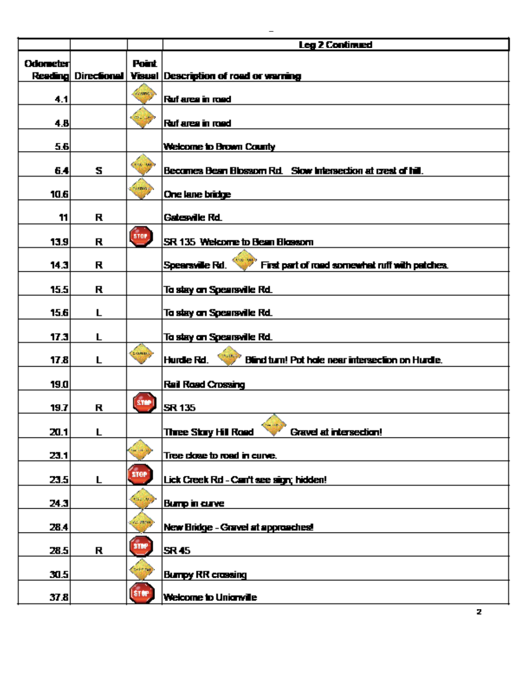|                 |   |                   | <b>Leg 2 Continued</b>                                            |
|-----------------|---|-------------------|-------------------------------------------------------------------|
| <b>Odometer</b> |   | Point             |                                                                   |
|                 |   |                   | Reading Directional   Visual   Description of road or warning     |
| 4.1             |   | <i>comet</i>      | Ruf area in road                                                  |
| 4.B             |   | 12.5              | Ruf area in road                                                  |
| 5.6             |   |                   | Welcome to Brown County                                           |
| 6.4             | s | Controlled        | Becomes Bean Blossom Rd. Slow Intersection at crest of hill.      |
| 10.6            |   | <b>Evanto</b>     | One lane bridge                                                   |
| 11              | R |                   | Gatesville Rd.                                                    |
| 13.9            | R | 510P              | SR 135 Welcome to Bean Blossom                                    |
| 14.3            | R |                   | Spearsville Rd.<br>First part of road somewhat ruff with patches. |
| 15.5            | R |                   | To stay on Spearsville Rd.                                        |
| 15.6            | Г |                   | To stay on Spearsville Rd.                                        |
| 17.3            | L |                   | To stay on Spearsville Rd.                                        |
| 17.8            | L | (ceange)          | Blind turn! Pot hole near intersection on Hurdle.<br>Hurdle Rd.   |
| 19.0            |   |                   | <b>Rail Road Crossing</b>                                         |
| 19.7            | R | <b>STAP</b>       | SR 135                                                            |
| 20.1            | L |                   | <b>Three Story Hill Road</b><br><b>Gravel at intersection!</b>    |
| 23.1            |   |                   | Tree close to road in curve.                                      |
| 23.5            | L | stor <sup>1</sup> | Lick Creek Rd - Carr't see sign; hidden!                          |
| 24.3            |   | CALL VA           | <b>Burrp in curve</b>                                             |
| 28.4            |   | 64,000            | New Bridge - Gravel at approaches!                                |
| 28.5            | R | <b>STAP</b>       | SR 45                                                             |
| 30.5            |   |                   | <b>Burrey RR crossing</b>                                         |
| 37.8            |   | STAP              | Welcome to Unionville                                             |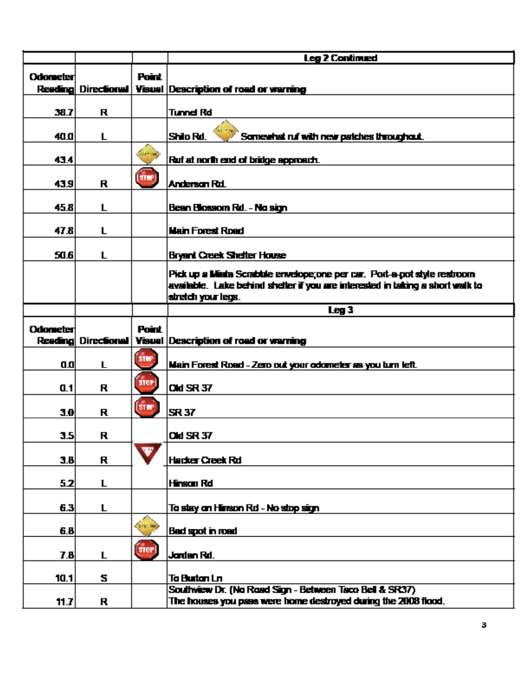|                 |                     |                                  | <b>Leg 2 Continued</b>                                                                                                                                      |
|-----------------|---------------------|----------------------------------|-------------------------------------------------------------------------------------------------------------------------------------------------------------|
| <b>Odometer</b> |                     | Point.                           |                                                                                                                                                             |
|                 | Reading Directional |                                  | <b>Visual Description of road or warning</b>                                                                                                                |
|                 |                     |                                  |                                                                                                                                                             |
| 38.7            | R                   |                                  | Tunnel Rd                                                                                                                                                   |
| 40.0            | Г                   |                                  | Shilo Rd.<br>Somewhat ruf with new patches throughout.                                                                                                      |
| 43.4            |                     | <b>COLLECTION</b>                | Ruf at north end of bridge approach.                                                                                                                        |
| 43.9            | R                   | $\left($ sre $\mathbf{r}\right)$ | Anderson Rd.                                                                                                                                                |
| 45.8            | Г                   |                                  | Bean Blossom Rd. - No sign                                                                                                                                  |
| 47.8            | Г                   |                                  | <b>Main Forest Road</b>                                                                                                                                     |
| 50.6            | L                   |                                  | <b>Bryant Creek Shelter House</b>                                                                                                                           |
|                 |                     |                                  | Pick up a Miata Scrabble envelope; one per car. Port-a-pot style restroom<br>available. Lake behind shelter if you are interested in taking a short walk to |
|                 |                     |                                  | stretch your legs.                                                                                                                                          |
|                 |                     |                                  | Leg 3                                                                                                                                                       |
| <b>Odometer</b> |                     | Point                            |                                                                                                                                                             |
|                 |                     |                                  |                                                                                                                                                             |
|                 | Reading Directional |                                  | Visual Description of road or warning                                                                                                                       |
| a.al            | L                   | <b>STMP</b>                      |                                                                                                                                                             |
| 0.1             | R                   | <b>STOP</b>                      | Main Forest Road - Zero out your odometer as you turn left.<br><b>Old SR 37</b>                                                                             |
|                 |                     | (STMP)                           |                                                                                                                                                             |
| 3.0             | R                   |                                  | SR 37                                                                                                                                                       |
| 3.5             | R                   |                                  | <b>Old SR 37</b>                                                                                                                                            |
| 3.B             | R                   | XV.                              | <b>Hacker Creek Rd</b>                                                                                                                                      |
| 52              | L                   |                                  | Hiinsan Rd                                                                                                                                                  |
| 6.3             | L                   |                                  | Ta stey an Hinson Rd - No stop sign                                                                                                                         |
| 6.B             |                     | 219.90                           | Bed spot in road                                                                                                                                            |
| 7.B             | L                   | 510F                             | Jardan Rd.                                                                                                                                                  |
|                 |                     |                                  |                                                                                                                                                             |
| 10.1            | s                   |                                  | Ta Burtan Ln<br>Southwiew Dr. (No Road Sign - Between Taco Bell & SR37)<br>The houses you pass were home destroyed during the 2008 flood.                   |